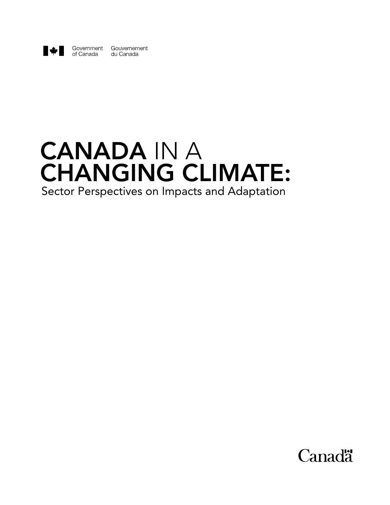

Government Gouvernement of Canada du Canada

# CANADA IN A CHANGING CLIMATE: Sector Perspectives on Impacts and Adaptation

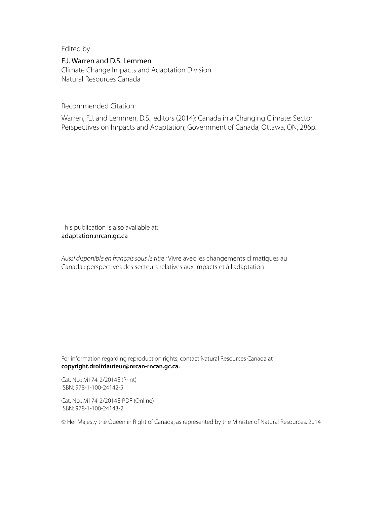Edited by:

## F.J. Warren and D.S. Lemmen

Climate Change Impacts and Adaptation Division Natural Resources Canada

Recommended Citation:

Warren, F.J. and Lemmen, D.S., editors (2014): Canada in a Changing Climate: Sector Perspectives on Impacts and Adaptation; Government of Canada, Ottawa, ON, 286p.

This publication is also available at: <adaptation.nrcan.gc.ca>

*Aussi disponible en français sous le titre :* Vivre avec les changements climatiques au Canada : perspectives des secteurs relatives aux impacts et à l'adaptation

For information regarding reproduction rights, contact Natural Resources Canada at **[copyright.droitdauteur@nrcan-rncan.gc.ca](mailto:copyright.droitdauteur%40nrcan-rncan.gc.ca?subject=).**

Cat. No.: M174-2/2014E (Print) ISBN: 978-1-100-24142-5

Cat. No.: M174-2/2014E-PDF (Online) ISBN: 978-1-100-24143-2

© Her Majesty the Queen in Right of Canada, as represented by the Minister of Natural Resources, 2014